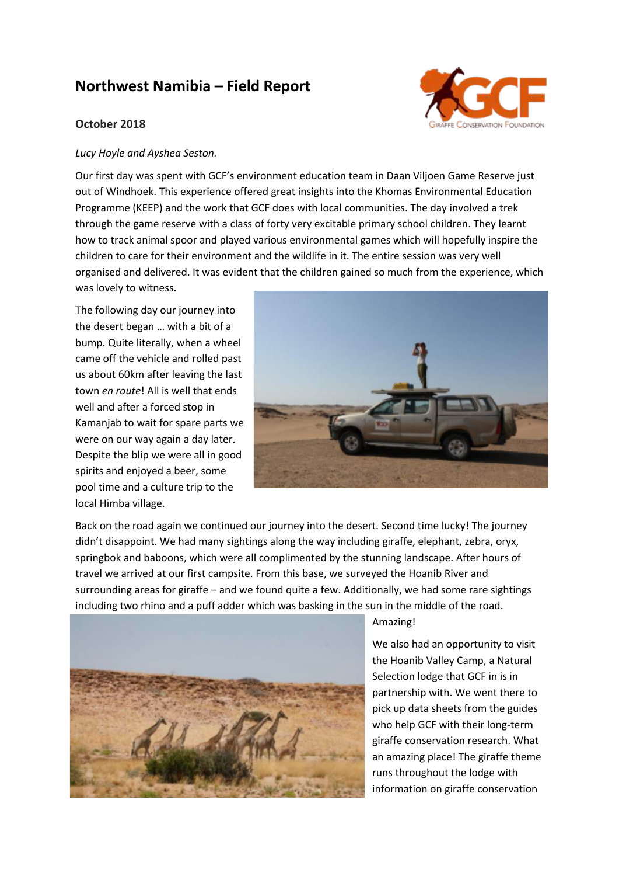## **Northwest Namibia – Field Report**

## **October 2018**



## *Lucy Hoyle and Ayshea Seston.*

Our first day was spent with GCF's environment education team in Daan Viljoen Game Reserve just out of Windhoek. This experience offered great insights into the Khomas Environmental Education Programme (KEEP) and the work that GCF does with local communities. The day involved a trek through the game reserve with a class of forty very excitable primary school children. They learnt how to track animal spoor and played various environmental games which will hopefully inspire the children to care for their environment and the wildlife in it. The entire session was very well organised and delivered. It was evident that the children gained so much from the experience, which was lovely to witness.

The following day our journey into the desert began … with a bit of a bump. Quite literally, when a wheel came off the vehicle and rolled past us about 60km after leaving the last town *en route*! All is well that ends well and after a forced stop in Kamanjab to wait for spare parts we were on our way again a day later. Despite the blip we were all in good spirits and enjoyed a beer, some pool time and a culture trip to the local Himba village.



Back on the road again we continued our journey into the desert. Second time lucky! The journey didn't disappoint. We had many sightings along the way including giraffe, elephant, zebra, oryx, springbok and baboons, which were all complimented by the stunning landscape. After hours of travel we arrived at our first campsite. From this base, we surveyed the Hoanib River and surrounding areas for giraffe – and we found quite a few. Additionally, we had some rare sightings including two rhino and a puff adder which was basking in the sun in the middle of the road.



## Amazing!

We also had an opportunity to visit the Hoanib Valley Camp, a Natural Selection lodge that GCF in is in partnership with. We went there to pick up data sheets from the guides who help GCF with their long-term giraffe conservation research. What an amazing place! The giraffe theme runs throughout the lodge with information on giraffe conservation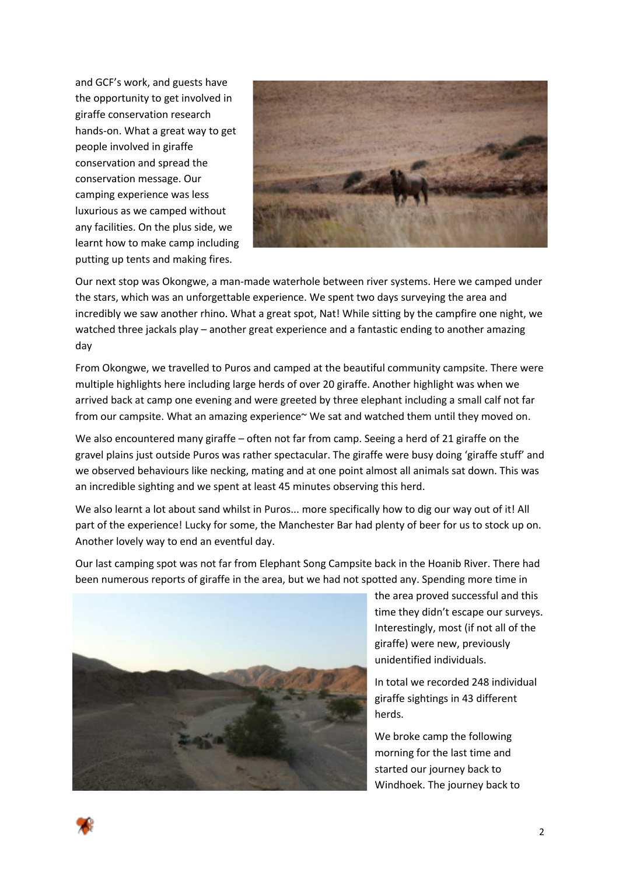and GCF's work, and guests have the opportunity to get involved in giraffe conservation research hands-on. What a great way to get people involved in giraffe conservation and spread the conservation message. Our camping experience was less luxurious as we camped without any facilities. On the plus side, we learnt how to make camp including putting up tents and making fires.



Our next stop was Okongwe, a man-made waterhole between river systems. Here we camped under the stars, which was an unforgettable experience. We spent two days surveying the area and incredibly we saw another rhino. What a great spot, Nat! While sitting by the campfire one night, we watched three jackals play – another great experience and a fantastic ending to another amazing day

From Okongwe, we travelled to Puros and camped at the beautiful community campsite. There were multiple highlights here including large herds of over 20 giraffe. Another highlight was when we arrived back at camp one evening and were greeted by three elephant including a small calf not far from our campsite. What an amazing experience~ We sat and watched them until they moved on.

We also encountered many giraffe – often not far from camp. Seeing a herd of 21 giraffe on the gravel plains just outside Puros was rather spectacular. The giraffe were busy doing 'giraffe stuff' and we observed behaviours like necking, mating and at one point almost all animals sat down. This was an incredible sighting and we spent at least 45 minutes observing this herd.

We also learnt a lot about sand whilst in Puros... more specifically how to dig our way out of it! All part of the experience! Lucky for some, the Manchester Bar had plenty of beer for us to stock up on. Another lovely way to end an eventful day.

Our last camping spot was not far from Elephant Song Campsite back in the Hoanib River. There had been numerous reports of giraffe in the area, but we had not spotted any. Spending more time in



the area proved successful and this time they didn't escape our surveys. Interestingly, most (if not all of the giraffe) were new, previously unidentified individuals.

In total we recorded 248 individual giraffe sightings in 43 different herds.

We broke camp the following morning for the last time and started our journey back to Windhoek. The journey back to